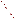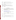### **AGENCY:** ENVIRONMENTAL PROTECTION AGENCY (EPA)

- **TITLE:** COMMUNITY ACTION FOR A RENEWED ENVIRONMENT (CARE) PROGRAM
- **ACTION:** Request for Initial Proposals (RFIP) Questions and Answers
- **RFIP NO.: OAR-IO-05-08**

### **CATALOG OF FEDERAL DOMESTIC ASSISTANCE (CFDA) NO:** 66.035

- **SUMMARY:** Formal Agency responses to questions/comments regarding the subject solicitation.
- **DATE:** May 17, 2005

### **Getting an Application**

- Question 1: I am interested in submitting an initial proposal for a Level I grant from the recently announced CARE Program. I have accessed the RFIP, but have been unable to find an application package (and grant application forms) on the EPA's Grants and Debarment website.
- Answer: For copies of all the necessary forms please go to:

[http://www.epa.gov/ogd/grants/how\\_to\\_apply.htm](http://www.epa.gov/ogd/grants/how_to_apply.htm)

There is not a CARE specific application. You should write up an application package based on the instructions and criteria in the RFIP.

### **Leveraging**

Question 2: If Level I applicants offer leveraged funds, does that make their application more competitive?

Answer: No

- Question 3: For Level II applicants, is it better to provide cash or in-kind leveraged funds?
- Answer: EPA does not weigh one type more highly than the other.
- Question 4: I know it says no match required, but if we have matching funds, should we list them?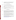Answer: It is your decision whether or not to list matching funds. You should examine the evaluation criteria and see whether listing the matching funds help you demonstrate that you meet the criteria. If you do you should be prepared to account for them.

#### **Future CARE Agreements**

Questions 5: Will there be another round of similar CARE funding in '06?

Are you going to be running the grant competition every year?

- Answer: It is our intent to continue the CARE program and fund additional cooperative agreements in the future but that will depend on future appropriations and budget decisions.
- Question 6: Should I submit my grant this year with the hope that if it doesn't get funded this year, it might be funded next year or the year after that?
- Answer: No. EPA will not save applications that are not awarded this year and use them in future competitions.

### **Speaking to Someone**

Questions 7: Is there a contact officer I can speak with to ask further detailed questions?

I understand that formal questions are requested in writing, but it would be quite helpful to learn more informally about the genesis of the program and the results EPA hopes for. It so happens that I will be back in Washington, DC next week (Thursday and Friday) and I wonder if you or some other appropriate person might be available to meet? *(Received via e-mail)*

To whom it may concern - I am sending a drat outline of a proposal that we would like to submit and would like to speak to someone about our ideas. Upon receipt of this fax could you please notify me at the above telephone number.

Answer: Because this is an open competitive opportunity, in the interest of fairness, we are unable to meet with individual potential applicants to discuss details of the program or proposal development. Specific questions regarding the solicitation to the must be submitted as stated in the RFIP:

> "All questions or comments must be communicated in writing via postal mail, facsimile, or by using our website listed above. Answers will be posted, bi-weekly, until the closing date of this announcement at the OAR Grants/Funding webpage [\(http://www.epa.gov/air/grants\\_funding.html\).](http://www.epa.gov/air/grants_funding.html)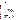Send mail to: US EPA Attn: CARE Program Mail Code 8001A 1200 Pennsylvania Avenue, NW Washington, DC 20460

Send fax to: 202-564-7739 (attention CARE program)

Go to our website, and click on the words contact us at the bottom of the screen: [www.epa.gov/care](http://www.epa.gov/care)"

Of course additional information about the program can be accessed at [www.epa.gov/care](http://www.epa.gov/care).

### **Is this Eligible for Funding?**

Questions 8: Our county is interested in learning more about the CARE technical assistance offered through EPA. We are looking to change over our cleaning products to non-toxic products to create a safer environment for employees and county residents. Similarly through our purchasing dept. neighboring municipalities would have access to purchase non-toxic chemicals. Is this something that is eligible for CARE technical assistance? Thanks for your help.

> What are the chances the CARE Level II funding could be used to support an ISO 14001 implementation at the our seaport? Is this the kind of project that might possibly be funded?

> Our Tribe is requesting ... a level II CARE Cooperative Agreement to develop the engineering design, leverage funding, scope the community and plan for the construction of an overpass at the railroad crossing (as a disaster mitigation action in the event of a train derailment).

Answer: We can not answer specific questions about whether one idea or another is eligible for funding. In addition, it is hard to evaluate projects based on short descriptions. However, in order to give you some guidance we would remind everyone that, as stated in the RFIP, CARE will "form collaborative partnerships, develop a comprehensive understanding of all sources of risk from toxics, set priorities, and identify and implement projects to reduce risks through collaborative action at the local level. CARE's long term goal is to help communities build self-sustaining, community-based partnerships that will continue to improve local environments into the future." Based on these objectives of the CARE program the projects listed above may be useful parts of a CARE project but seem too limited.

> Most importantly, you should review the RFIP's Evaluation Criteria and the Threshold Criteria for Level II Cooperative Agreements to determine whether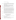your project meets the criteria listed.

## **Other**

- Question 9: We are very much interested in applying. We can collaborate with our tribal EPA and several other local agencies concerned with air quality, water quality, and recycling. My question is, is there an opportunity to apply for a planning grant to organize our collaboration?
- Answer: Yes, the Level I Agreements provide money that can be used to organize a community based collaboration, but we would expect that more than just organization and planning to occur. For example, refer to the RFA evaluation criteria 3 - Alignment with CARE Strategies.
- Question 10: When EPA says we can lend technical expertise, what does that mean? Do we need to specify in the application what type of assistance we might need from EPA?
- Answer: You do not have to specify the type of assistance you might need. In general EPA sees its role as providing tools, technical assistance and other support. That support can come in the all phases of the CARE project based on the needs of the community. One place you can go to find the kinds of information and tools that EPA has is the CARE Resource Guide which can be found on the CARE website.

Please note that the specific assistance provided will depend on the situation and needs of the community and will be worked out by the EPA Project Officer and the selected applicants in the performance of the work supported.

- Question 11: I know the web page says that all toxins with negative health and environmental impacts can be considered, but would a pollutant like nitrate rank as highly as one whose health endpoints of concern are more well known, like dioxin?
- Answer: EPA will not be ranking toxins please refer to Evaluation Criteria 1 in the RFIP.

# **Questions about the RFIP Round 2**

# **Eligible Organizations**

Questions 12: I am curious to know whether or not a community group that is not a non-profit is eligible for the CARE grant?

Does community organization have to be a 501c3?

Answer: According to the RFIP, a community group must be a non-profit as defined by OMB Circular A-122. The Circular defines a non-profit as: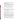"any corporation, trust, association, cooperative, or other organization which:

1) is operated primarily for scientific, educational, service, charitable, or similar purposes in the public interest;

(2) is not organized primarily for profit; and

(3) uses its net proceeds to maintain, improve, and/or expand its operations. For this purpose, the term "non-profit organization" excludes (i) colleges and universities; (ii) hospitals; (iii) State, local, and federally-recognized Indian tribal governments; and (iv) those non-profit organizations which are excluded from coverage of this Circular in accordance with paragraph 5.

- Question 13: Here is my information and I realize that I am not an agency list only an individual but looking over the grant requirements it is to prevent pollution, well that is what I am trying to do also. Is it possible for me to apply?
- Answer: Individuals are not eligible to apply for CARE Cooperative Agreements.
- Question 14: Are local county health departments eligible to apply for CARE program funding?
- Answer: If the county health department is an agency of the county or other local or tribal government entity they could apply. However, in some states the county health department is part of the State government. In those States they can not apply since State Agencies are ineligible. They could of course be a partner working on a CARE project that has an eligible grantee.

# **Legitimate Expenses**

- Question 15: Would it be possible to apply for CARE grants in order to support laboratory biomonitoring programs (the measurement of toxic chemicals in human blood, urine, saliva, etc.) in order to determine community exposures and develop plans to reduce these exposures?
- Answer: While such expenditures are an allowable expense, we would expect to see more than monitoring programs in any CARE application. The Level 1 grants help communities form partnerships that may include community-based organizations, businesses, government agencies and others to identify risks from toxics in their communities, set priorities, and begin to explore voluntary approaches, including EPA's voluntary programs, to find ways to reduce emissions and exposures to toxics in the community. The Level 2 grants are primarily designed for communities that have already assessed the toxic risks in their communities, and to help then implement solutions. Please see the Evaluation Criteria.
- Question 16: A staffer at the US Fish and Wildlife Service is hoping to work with a local watershed group on a Level I grant. Can a portion of the budget include salary and equipment for my contribution? (I would also provide an in-kind match).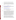This is not a pass through. The watershed group would have the lead with an additional contribution from a university. Thanks for your consideration.

Answer: While Federal agencies are not eligible to get CARE agreements they can receive reimbursement from the recipient of a CARE agreement for providing with services to CARE partnerships. EPA hopes to work with other Federal agencies to encourage them to support communities that receive CARE agreements at no charge.

#### **Forms**

- Question 17: Are the forms listed on the Grant Applications Forms page [\(http://www.epa.gov/ogd/AppKit/application.htm\)](http://www.epa.gov/ogd/AppKit/application.htm) the ONLY forms that need to be completed and submitted with the CARE RFIP? If not, a specific listing of forms would be helpful. Thank You
- Answer: For copies of all the necessary forms please go to:

[http://www.epa.gov/ogd/grants/how\\_to\\_apply.htm](http://www.epa.gov/ogd/grants/how_to_apply.htm)

There is not a CARE specific application. You should write up an application package based on the instructions and criteria in the RFIP.

#### **CERCLA and Monitoring**

- Question 18: Your note, below, says that groups around sites that are CERCLA cleanup sites do not qualify. Can you explain? Do you mean that Superfund related PROJECTS would not be eligible (e.g., the kinds of projects that are eligible under the TAG program)? Or did you mean if the site is a CERCLA site, no matter what you propose in the community, it would not be eligible? Or, put another way, would a project be eligible if it involved a Superfund site IF the project clearly was not about the Superfund cleanup of that site. For example, would sampling for potential airborne emissions (should the community desire that) downwind be a potentially eligible project -- as that has zero to do with the CERCLA cleanup at the site? Or perhaps a series of mediated meetings with site management on pollution prevention technologies -- as that is not related to CERCLA either??? I went through the guidelines and FAQs and other things, and didn't get a clear answer to this. any help you can offer would be appreciated.
- Answer: The CARE grants can't be used to fund work that is typically done under Superfund, e.g., funding cleanup work at a Superfund site or hiring a technical advisor to assist a community in understanding issues associated with a Superfund site cleanup. A community that has a Superfund site in it can be eligible for a CARE grant to assess toxic problems in their community beyond the Superfund site, and to identify ways to reduce the risks from these toxic problems.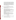You are right that something like air sampling unrelated to the Superfund site could be covered by a CARE grant, but, in general, we are hoping that projects that seek to use existing air emissions information from sources such as the EPA Toxics Release Inventory to prioritize toxic problems in a community would have a better chance of being selected. CARE projects are designed to use readily available information to set priorities and get quickly to risk reduction efforts as opposed to air emission sampling which can be very expensive and time consuming. Air sampling may be necessary for some communites, but funding for this kind of more detailed assessment activity would more likely come from the air monitoring program.

### **CARE Strategies**

Question 19: We are writing a grant proposal for a Level I project. When I looked at the guidelines, it mentioned the the grant proposal should link to the 5 CARE program stratetgies, but I saw 6 strategies in the guidelines and the webpage. Can you clarify the number of strategies?

Answer: The RFIP lists the 6 CARE strategies. They are:

1) Empower communities to address toxics issues at the local level,

2) Build effective collaborative partnerships that include community residents, organizations, and businesses, governments, academic institutions, non-profit organizations, and other appropriate stakeholders,

3) Examine and understand toxic risks from multiple sources in the community and set priorities for effective action to reduce risks,

4) Focus on action, use information and analysis to build consensus and help target greatest risks,

5) Focus on using voluntary programs and approaches to find solutions and reduce risks; and

6) Mobilize local resources and build long term community capacity to understand and address environmental risks

For Level I agreements the  $3<sup>rd</sup>$  Evaluation Criterion "Alignment with CARE Strategies" covers strategies 1, 3, 4, 5, & 6only. The response to Evaluation Criterion 2 Community Involvement/Collaboration/Partnerships" covers alignment with the second CARE strategy.

#### **CARE Funding**

- Question 20: Please clarify if the funding amount is \$60,000-\$90,000 per year or is it the total award amount for the 2-year project period.
- Answer: You will have 2 years to spend the \$60,000-\$90,000. You do not get additional money from the CARE agreement in the second year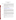## **QUESTIONS FROM ROUND 3 RFIP**

## **CARE Definitions**

Question 21: How do you define "risk" as mentioned in the CARE request for initial proposals?

- Answer: Risk is the possibility of a person(s) suffering harm to their health or to the quality of their environment. Risk comes from the exposure of the person(s) or their environment to a toxic substance or pollutant, or to the combination several threats. In some cases a substance may be harmful not because it is intrinsically hazardous but because of the amount may be so large as to disrupt the natural ecological or biological systems.
- Question 22: How do you define "community" and "local level?" Specifically, could we apply for work at a statewide level? What about work with a particular community of interest or subpopulation (e.g., children)?
- Answer: The CARE website, Frequently Asked Questions (http://cfpub.epa.gov/care/index.cfm?fuseaction=faq.showFaq) defines "community" as follows:

"The Community for a Renewed Environment (CARE) program is not strictly defining the term community. Generally speaking a community is a group of people living in the same area sharing the same environment. It will often be a relatively small area, but in rural locations a larger area such as a watershed would be considered a community. For purposes of CARE the New York City metropolitan area or the entire Missouri River watershed would be considered too large to be a community."

Based on this definition, a State is too large of an area and could not be a community. Action at the "local level" means action taken in a (the) community. While a CARE project could, and in many cases will, involve some work that is specific to a subpopulation within a community , you can not use a subpopulation to define a community for purposes of getting a CARE cooperative agreement because the subpopulation does not represent the community as a whole.

Question 23: Listed under background the paragraph mentions toxic concerns. Could you define toxic concerns?

> Would harmful algal blooms and toxic phytoplankton fall under the *other substances in the environment that can cause negative health or environmental impacts?*

Do you consider nitrogen and phosphorous or their toxic outcomes as toxic substances?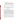Answer: On our website we define toxics as:

"When the CARE program uses the term 'toxics' it means those chemicals, pollutants or other substances in the environment that can cause negative health or environmental impacts. We are trying to use an expansive common sense definition of the term. We are specifically not limiting it to a legalistic definition where only those chemicals that are specifically listed in or covered by a piece of legislation are considered toxics."

Therefore, "toxics concerns" means any interest, worry, anxiety that a community may have because of the existence of toxics in its environment and the risks they represent.

Harmful algal blooms, toxic phytoplankton, nitrogen and phosphorous or their toxic outcomes, would fall under that definition if they were of a sufficient magnitude to cause negative health or environmental impacts in that community.

#### **Eligible Programs**

- Question 24: Would an IPM program addressing rodent control with community input and collaboration be considered a eligible program?
- Answer: As stated in our response to previous questions submitted by other potential applicants ( http://www.epa.gov/air/grants/05-08qa.pdf), because of a matter of fair competition, we can not answer specific questions about whether one idea or another is eligible for funding during the RFIP solicitation period. In addition, it is hard to appropriately evaluate projects based on limited descriptions. However, in order to give you some guidance, we would remind potential applicants that, as stated in the RFIP, CARE will "form collaborative partnerships, develop a comprehensive understanding of all sources of risk from toxics, set priorities, and identify and implement projects to reduce risks through collaborative action at the local level. CARE's long term goal is to help communities build self-sustaining, community-based partnerships that will continue to improve local environments into the future." Based on these objectives of the CARE program, the projects listed above may be useful parts of a CARE project but *seem* too limited to be a stand-alone project.
- Question 25: Our goal is to work with all sectors of the community to draft state legislation that will allow the creation of an Aquifer Protection Area for a sole-source aquifer. The funds generated from the Aquifer Protection Area will be used to reduce toxic contamination to the Aquifer. QUESTION: Is this even eligible for CARE?
- Answer: EPA grant funds can not be used for lobbying as the drafting of state legislation would entail.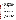### **Organizational Capacity**

- Question 26: In addressing the criteria "organizational capacity," it's not clear what information you want regarding prior EPA grants. Do you simply want to know that we are current with all required reports, or do you want to know what we have accomplished substantively?
- Answer: Your response should describe other projects that you have successfully managed, or organizational features and controls that will help ensure the project can be effectively managed and successfully completed. You must describe and provide substantiation of your ability to manage a project such as the one proposed. Please also describe the system(s) that will be used to appropriately manage, expend, and account for Federal funds. If the you are, or has been, a recipient of an EPA grant/cooperative agreement in the last 5 years the applicant must provide information regarding compliance reporting measures, and annual financial status reporting. If for some reason you have problems complying with some of the requirements of previous federal grants, you may also want to include how those problems were resolved and what measures have been put in place to avoid the same problems to happen in the future.

### **Voluntary Programs**

- Question 27: What is the list of EPA voluntary programs to choose from for the Level II awards?
- Answer: EPA does not have a specific list of voluntary programs at this time, although we are working on producing one. For purposes of applying to the RFIP, you do not need to include the specific set of voluntary programs you plan to implement. It is expected that a community partnership will work with EPA and the State to examine possible voluntary programs that will address the community's priority risks. If you are interested in looking at some of the voluntary programs that would be available, we suggest you look at the section of the CARE Resource Guide entitled, "Methods to Reduce Your Exposure". The Resource Guide can be found on the CARE website at: http://cfpub.epa.gov/care/index.cfm?fuseaction=Guide.showIntro#

Question 28: Is it mandatory to promote or implement only EPA's voluntary programs?

Answer: No. While we expect CARE projects to focus on voluntary programs to reduce toxic concerns we do not require or expect that only EPA voluntary programs will be implemented. EPA staff will work with the community partnership and provide information on EPA's and other programs. In addition, the other partners will also provide information on other voluntary programs they have or know about. The partnership will then select the programs that best meet their needs and resources.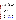### **Threshold Criteria**

Question 29: Does our project meet the Level II threshold eligibility if our stakeholder group was formed to address a known problem rather than our specific stakeholder group identifying the priority problem?

> Does our project meet the threshold standard if it is focused on water resources and not addressing all toxics in the Groundwater Management Area even if those toxics are already being dealt with in other arenas?

Answer: In order to meet the Level II threshold eligibility criteria, as stated in the RFIP you must represent a partnership that has"... completed a detailed examination of toxics in the community which includes more than one environmental media, come to consensus on the specific community priorities for risk reduction, and be prepared to choose a risk reduction to address community priorities and mobilize the community and its partners to implement this plan."

> Based on the limited information provided, it does not appear that your project meet the established threshold criteria.

### **Eligible Applicants**

- Question 30: Is a Council of Governments eligible to be an applicant for the CARE Program? We are a regional planning organization that serves city and county governments who are members of the Council.
- Answer: An organization of local government or local officials would be eligible to be an applicant.
- Question 31: I've read the RFP and have a question(s) about eligibility (III.). Are local health departments eligible? Are 501(c)(3)s eligible? Are local hospital foundations eligible?
- Answer: As we stated in our response to previous questions submitted by other potential applicants (http://www.epa.gov/air/grants/05-08qa.pdf):

If the county health department is an agency of the county or other local or tribal government entity, they could apply. However, in some states the county health department is part of the State government. In those States, they can not apply since State Agencies are ineligible. They could of course be a partner working on a CARE project that has an eligible grantee.

According to the RFIP, a  $501(c)(3)$  is eligible or a local hospital foundation would be eligible as long as they meet the definition of a non-profit, as defined by OMB Circular A-122 [\(http://www.whitehouse.gov/omb/circulars/a122/a122.html\)](http://www.whitehouse.gov/omb/circulars/a122/a122.html).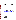- Question 32: Will CARE consider funding a Level I and a Level II grant for a community? We would like to submit a Level I grant for developing a high school educational and outreach initiative but do not want to interfere with the community's larger collaboration that may be seeking Level II funding.
- Answer: According to the RFIP an applicant (organization) can submit only one proposal. An organization could partner in more than one CARE project or proposal. However, you should be aware that it is EPA's intent, to the extent it can, provide geographic diversity in the CARE projects. As a practical matter, we intend to have one community with a CARE agreement in each EPA region.
- Question 34: I'd like to know if there is a Chicago based organization that will be applying for this grant. We'd like to work with them to supply an IPM component to their proposal.
- Answer: We have not received any applications at this time and the CARE program is not keeping track of potential applicants.

#### **Budget**

- Question 35: What projects or project costs are considered ineligible for the CARE grant?
- Answer: All costs associated with any project must be eligible, allowable, allocable and reasonable. Allowable costs must be consistent with the appropriate OMB cost principles. These are: OMB Cost Principles A-21 for Educational Institutions [\(http://www.whitehouse.gov/omb/circulars/a021/a021.html\)](http://www.whitehouse.gov/omb/circulars/a021/a021.html); OMB Cost Principles A-87 for State, Local and Tribal Governments [\(http://www.whitehouse.gov/omb/circulars/a087/a087-all.html\)](http://www.whitehouse.gov/omb/circulars/a087/a087-all.html); and OMB Cost Principles A-122 for Non-Profit Organizations [\(http://www.whitehouse.gov/omb/circulars/a122/a122.htm\)](http://www.whitehouse.gov/omb/circulars/a122/a122.html).
- Question 36: If a university and community are applying for this grant together, is there a specific percentage that has to be allocated to each of the partners?
- Answer: No, the percentage is for the partners to decide.
- Question 37: If we want to use the services of an employee of one of our partner groups, do we have to go through the competitive procurement process?
- Answer: EPA is unable to answer this question without more information as to the status of this partner group employee. If this employee will be paid as a contractor, then that contract would be subject to the competition procedures outlined by the contracting organization. Typically, competition would occur or a satisfactory sole source justification and accompanying cost reasonableness determination would have to be conducted.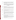- Question 38: Can you explain a little more what you mean by "successful applicant cannot use subgrants or subawards to avoid requirements in EPA Grant regulations for competitive procurement by using these instruments to acquire commercial services...." (Section IID).
- Answer: In the past, some organizations have tried to characterize contractual relationships as one of assistance (or subgrants), thereby getting around the competition requirements. This is only a reminder that it is the nature of the relationship that determines whether a contract or subgrant is the appropriate mechanism.

### **Costs and Funding**

- Question 39: Will indirect costs be allowed with the CARE grants? If so,is there a limit on the mount of indirect costs?
- Answers: Yes, indirect costs are allowed. Any organization claiming indirect costs in its budget, must submit a copy of their approved indirect cost rate, if selected for award. The government would only reimburse indirect costs up to the approved rate
- Question 40: Can CARE funds be used for purchasing equipment, like diesel retrofit kits?
- Answer: Yes, CARE funds can be used for that purpose, as long as the activity is within the context of a larger CARE project.
- Question 41: Is the funding awarded per year or is the total amount to cover both years? In other words is the award ceiling \$400,000.00 per year or \$400,000.00 for two years?
- Answer: Funding for the project is awarded for a 2-year period, but the money is provided incrementally. Funding for the second year is contingent on the performance of the award recipient. It should be noted that while we do not have a specific ceiling we expect Level II Grant Awards to be closer to \$300,000 than to \$400,000.
- Question 42: The RFP mentions 'providing information regarding compliance measures, and annual financial status reporting' for previously received (past 5 years) EPA grants and cooperative agreements.

We currently have an EPA Tools for Schools grant. Can you give us an example of what the 'compliance reporting measures' and the 'annual financial status reporting' should include? Or an example for any EPA grant. We are not familiar with this specific terminology.

Answer: EPA is looking for evidence of an organizations timely preparation and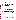submission of annual financial status reports. Compliance measures would include a recipient's history of providing progress reports within timeframes outlined in any existing or past EPA work plans, and in meeting milestones and deliverables.

- Question 43: Are there administrative or indirect cost limits for RFIP NO. OAR-IO-05-08?
- Answer: No. If selected for award, a copy of your organization's approved indirect cost rate must be provided. The government will accept up to that approved rate.
- Question 44: What forms are required to be submitted with my application?
- Answer: No forms are required at this time. If selected for award, EPA will request proposed recipients complete a full application at that time.

### **Locations for CARE Communities**

- Question 45: Are the six (6) LEVEL 1 awards earmarked for big cities with large populations? With a population of 52,000 would our city be in the running for a Level 1 grant award?
- Answer: None of the cooperative agreements are earmarked for any size of community. EPA is looking a for variety of different projects in communities of different sizes with different awardees.

### **Collaborating Organizations**

- Question 46: Regarding the letters of commitment from collaborating organizations, agencies, or entities, what level of commitment is required? For example, do we need to obtain a memorandum of understanding or is it fine to have a letter of commitment signed by the representative that will be collaborating with us on the project?
- Answer: A letter of commitment by a representative of the organization is sufficient. Please remember that EPA reserves the right to contact organizations to verify their commitment.

### **Length of CARE Agreement**

- Question 47: Our organization is applying for a CARE grant- level I. Is it possible to complete the work in one year instead of two?
- Answer: EPA expects that it will take more than a year for a community to achieve the goals of a Level I agreement - i.e. create a broad based stakeholder group, examine the toxics risks in the community and achieve consensus on priority risk, etc.. However, there is no problem if the community can achieve those results in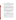a year or less.

### **Technical Support**

Question 48: For a Level I grant, what level of technical support will the EPA provide? For example, if we are interested in identifying multiple sources of exposure for a cumulative risk assessment, will EPA be able to provide modeling expertise to help us identify those sources of highest health risk? Or, would we need to bring on an academic partner that could provide that level of technical expertise?

Answer: In a previous question regarding technical support we said:

"In general EPA sees its role as providing tools, technical assistance and other support. That support can come in the all phases of the CARE project based on the needs of the community. One place you can go to find the kinds of information and tools that EPA has is the CARE Resource Guide which can be found on the CARE website. Please note that the specific assistance provided will depend on the situation and needs of the community and will be worked out by the EPA Project Officer and the selected applicants in the performance of the work supported."

In regards to this specific question, in some cases EPA's technical support could include modeling support. It should be noted that the CARE program has a bias for action. In general, we do not believe that full scale cumulative risk assessments are necessary or appropriate for CARE projects. They are usually too expensive and time consuming. We believe in using screening level assessments, which can include modeling, to help prioritize risks so that communities can move more quickly to take actions that will reduce risk.

### **Application Forms**

Question 49: I have a question regarding RFIP No - OAR-I0-05-08 - CARE Grant Program. Your RFIP instructions say that the 10-page proposal must have an original signature. Can the signature be on a regular page of the proposal, or do I need to submit form SF 424 with an original signature along with the 10 pages?

> My question is regarding RFIP No OAR-I0-05-08 - RFIP for CARE Program. Do I need to include EPA Application Forms S 424 and SF 424 A with the 10 page initial proposal? Are any other EPA forms required to be submitted with the initial 10 page proposal?

Answer: Applicant's are not required to complete an SF-424 or any other application forms at this time. A transmittal letter with original signature is sufficient at this time. This transmittal letter does not count towards the 10-page proposal limit.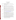# **Questions from Round 5**

### **Documentation**

- Question 50: Do you require a face page from a community organization who will be a subaward/subcontract on the project?
- Answer: No. What EPA requires is outlined in Section IV, "Application and Submission Information", of the RFIP.
- Question 51: What kind of documents do you require from a subaward/subcontract?
- Answer: What EPA requires is outlined in Section IV, "Application and Submission Information", of the RFIP. Letters of commitment from a proposed subcontract is sufficient.

Eligible entities/applicants whose initial proposals are tentatively selected for award will be requested to submit final applications. EPA may request additional documentation regarding subawards/subcontracts when final applications are submitted.

- Question 52: I don't see any budget guidance. We hope to work with EPA around some of the project ideas we have, so we don't have specific breakdown of costs in some cases (ie in terms of personnel, contract, supplies). How would you like us to proceed?
- Answer: Your budget narrative is an estimate. Guidance on preparing a budget can be found at: <http://www.epa.gov/ogd/recipient/tips.htm>

EPA may request additional, more specific budget information when final applications are requested from those entities/applicants whose initial proposals have been tentatively selected for award.

- Question 53: re. the care grant application, it is unclear from your instructions on the web site whether we are supposed to file the standard form for epa grant applications (424?) and the standard budget sheets, or just the narrative sections described.
- Answer: Applicant's are not required to complete an SF-424 or any other application forms at this time. A transmittal letter with original signature is sufficient at this time. This transmittal letter does not count towards the 10-page proposal limit.
- Question 54: Also you refer to meeting the guidelines established in I.B Scope of Work. Section I.B is entitled EPA Strategic Plan Linkage. Please clarify. We have completed our proposal draft and are trying to format the information according to your instructions, but they are difficult to follow.

Answer: We apologize for the mistake Scope of Work is I.C.